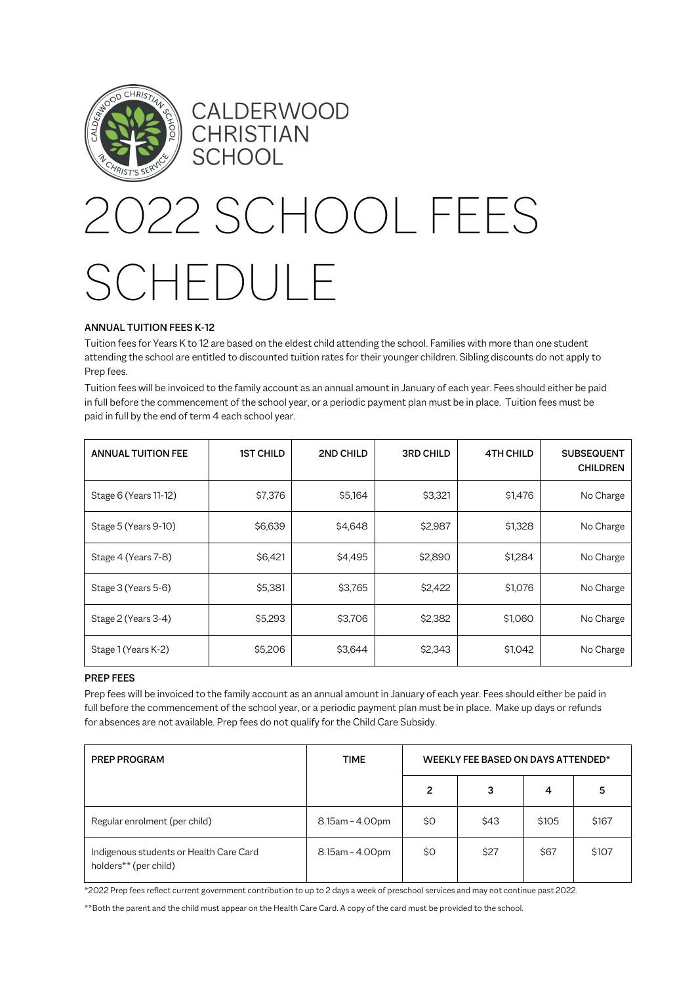

## CALDERWOOD CHRISTIAN **SCHOOL**

# 2022 SCHOOL FEES SCHEDULE

### ANNUAL TUITION FEES K-12

Tuition fees for Years K to 12 are based on the eldest child attending the school. Families with more than one student attending the school are entitled to discounted tuition rates for their younger children. Sibling discounts do not apply to Prep fees.

Tuition fees will be invoiced to the family account as an annual amount in January of each year. Fees should either be paid in full before the commencement of the school year, or a periodic payment plan must be in place. Tuition fees must be paid in full by the end of term 4 each school year.

| <b>ANNUAL TUITION FEE</b> | <b>1ST CHILD</b> | 2ND CHILD | <b>3RD CHILD</b> | <b>4TH CHILD</b> | <b>SUBSEQUENT</b><br><b>CHILDREN</b> |
|---------------------------|------------------|-----------|------------------|------------------|--------------------------------------|
| Stage 6 (Years 11-12)     | \$7,376          | \$5,164   | \$3,321          | \$1,476          | No Charge                            |
| Stage 5 (Years 9-10)      | \$6,639          | \$4,648   | \$2,987          | \$1,328          | No Charge                            |
| Stage 4 (Years 7-8)       | \$6,421          | \$4,495   | \$2,890          | \$1,284          | No Charge                            |
| Stage 3 (Years 5-6)       | \$5,381          | \$3.765   | \$2,422          | \$1,076          | No Charge                            |
| Stage 2 (Years 3-4)       | \$5,293          | \$3,706   | \$2,382          | \$1,060          | No Charge                            |
| Stage 1 (Years K-2)       | \$5,206          | \$3,644   | \$2,343          | \$1,042          | No Charge                            |

#### PREP FEES

Prep fees will be invoiced to the family account as an annual amount in January of each year. Fees should either be paid in full before the commencement of the school year, or a periodic payment plan must be in place. Make up days or refunds for absences are not available. Prep fees do not qualify for the Child Care Subsidy.

| <b>PREP PROGRAM</b>                                              | <b>TIME</b>     | WEEKLY FEE BASED ON DAYS ATTENDED* |      |       |       |
|------------------------------------------------------------------|-----------------|------------------------------------|------|-------|-------|
|                                                                  |                 | 2                                  | 3    | 4     | 5     |
| Regular enrolment (per child)                                    | 8.15am - 4.00pm | \$0                                | \$43 | \$105 | \$167 |
| Indigenous students or Health Care Card<br>holders** (per child) | 8.15am - 4.00pm | \$0                                | \$27 | \$67  | \$107 |

\*2022 Prep fees reflect current government contribution to up to 2 days a week of preschool services and may not continue past 2022.

\*\*Both the parent and the child must appear on the Health Care Card. A copy of the card must be provided to the school.